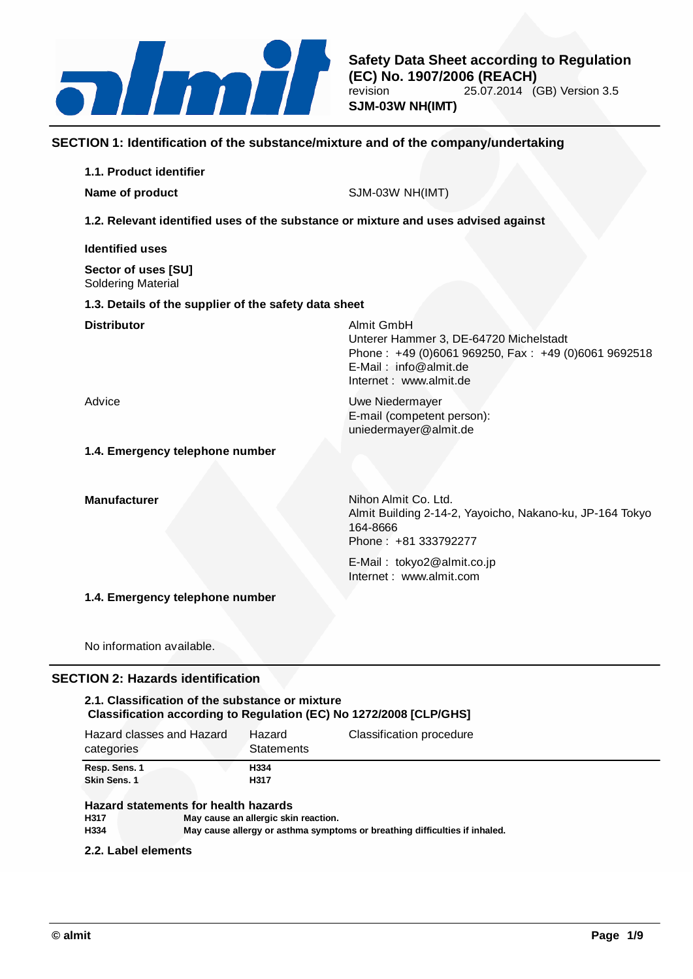

# **SECTION 1: Identification of the substance/mixture and of the company/undertaking**

| 1.1. Product identifier                                                            |                                                                                                                                                                |
|------------------------------------------------------------------------------------|----------------------------------------------------------------------------------------------------------------------------------------------------------------|
| Name of product                                                                    | SJM-03W NH(IMT)                                                                                                                                                |
| 1.2. Relevant identified uses of the substance or mixture and uses advised against |                                                                                                                                                                |
| <b>Identified uses</b>                                                             |                                                                                                                                                                |
| Sector of uses [SU]<br><b>Soldering Material</b>                                   |                                                                                                                                                                |
| 1.3. Details of the supplier of the safety data sheet                              |                                                                                                                                                                |
| <b>Distributor</b>                                                                 | Almit GmbH<br>Unterer Hammer 3, DE-64720 Michelstadt<br>Phone: +49 (0)6061 969250, Fax: +49 (0)6061 9692518<br>E-Mail: info@almit.de<br>Internet: www.almit.de |
| Advice                                                                             | <b>Uwe Niedermayer</b><br>E-mail (competent person):<br>uniedermayer@almit.de                                                                                  |
| 1.4. Emergency telephone number                                                    |                                                                                                                                                                |
| <b>Manufacturer</b>                                                                | Nihon Almit Co. Ltd.<br>Almit Building 2-14-2, Yayoicho, Nakano-ku, JP-164 Tokyo<br>164-8666<br>Phone: +81 333792277                                           |
|                                                                                    | E-Mail: tokyo2@almit.co.jp<br>Internet: www.almit.com                                                                                                          |
| 1.4. Emergency telephone number                                                    |                                                                                                                                                                |
| No information available.                                                          |                                                                                                                                                                |

# **SECTION 2: Hazards identification**

# **2.1. Classification of the substance or mixture Classification according to Regulation (EC) No 1272/2008 [CLP/GHS]**

| Hazard classes and Hazard<br>categories                         | Hazard<br><b>Statements</b> | Classification procedure |
|-----------------------------------------------------------------|-----------------------------|--------------------------|
| Resp. Sens. 1                                                   | H334                        |                          |
| Skin Sens. 1                                                    | H317                        |                          |
| المادحات والماها والمستطر والمتماد والمتحارب التوافقات والتاريخ |                             |                          |

#### **Hazard statements for health hazards H317 May cause an allergic skin reaction. H334 May cause allergy or asthma symptoms or breathing difficulties if inhaled.**

# **2.2. Label elements**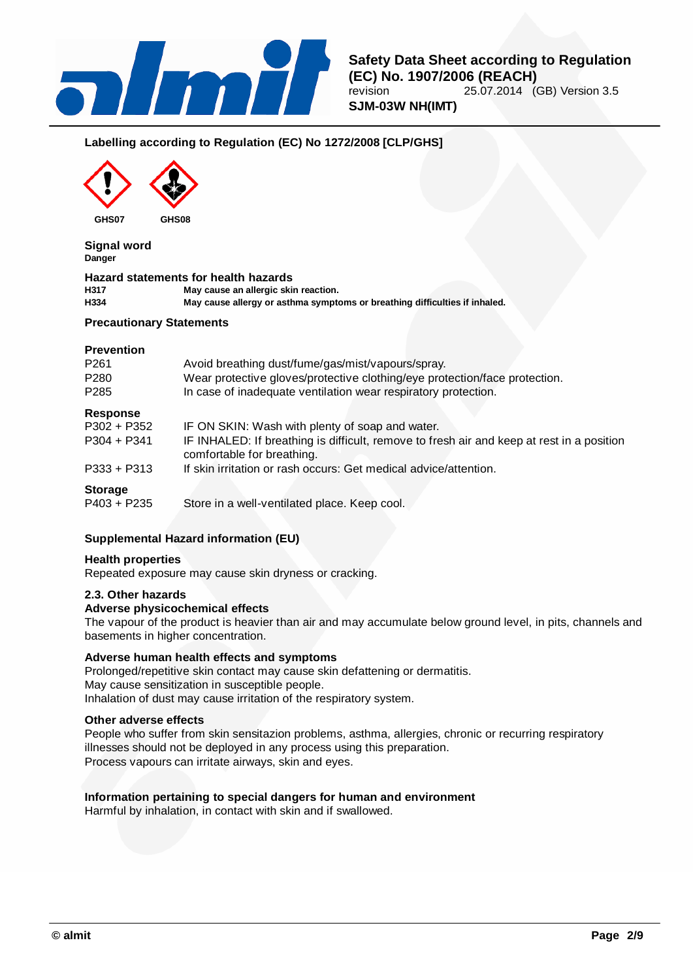

# **Labelling according to Regulation (EC) No 1272/2008 [CLP/GHS]**



**Signal word Danger**

|      | <b>Hazard statements for health hazards</b>                                |  |
|------|----------------------------------------------------------------------------|--|
| H317 | May cause an allergic skin reaction.                                       |  |
| H334 | May cause allergy or asthma symptoms or breathing difficulties if inhaled. |  |

### **Precautionary Statements**

### **Prevention**

| P <sub>261</sub> | Avoid breathing dust/fume/gas/mist/vapours/spray.                                                                       |  |  |
|------------------|-------------------------------------------------------------------------------------------------------------------------|--|--|
| P <sub>280</sub> | Wear protective gloves/protective clothing/eye protection/face protection.                                              |  |  |
| P <sub>285</sub> | In case of inadequate ventilation wear respiratory protection.                                                          |  |  |
| <b>Response</b>  |                                                                                                                         |  |  |
| P302 + P352      | IF ON SKIN: Wash with plenty of soap and water.                                                                         |  |  |
| $P304 + P341$    | IF INHALED: If breathing is difficult, remove to fresh air and keep at rest in a position<br>comfortable for breathing. |  |  |
| $P333 + P313$    | If skin irritation or rash occurs: Get medical advice/attention.                                                        |  |  |
| <b>Storage</b>   |                                                                                                                         |  |  |
| $P403 + P235$    | Store in a well-ventilated place. Keep cool.                                                                            |  |  |

# **Supplemental Hazard information (EU)**

# **Health properties**

Repeated exposure may cause skin dryness or cracking.

### **2.3. Other hazards**

### **Adverse physicochemical effects**

The vapour of the product is heavier than air and may accumulate below ground level, in pits, channels and basements in higher concentration.

# **Adverse human health effects and symptoms**

Prolonged/repetitive skin contact may cause skin defattening or dermatitis. May cause sensitization in susceptible people. Inhalation of dust may cause irritation of the respiratory system.

#### **Other adverse effects**

People who suffer from skin sensitazion problems, asthma, allergies, chronic or recurring respiratory illnesses should not be deployed in any process using this preparation. Process vapours can irritate airways, skin and eyes.

# **Information pertaining to special dangers for human and environment**

Harmful by inhalation, in contact with skin and if swallowed.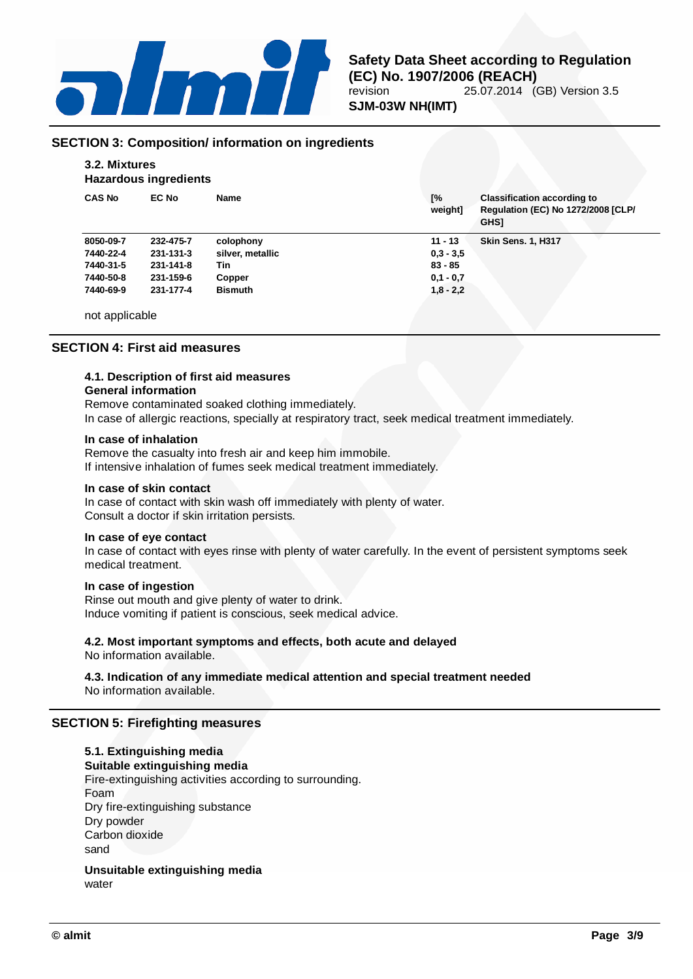

# **SECTION 3: Composition/ information on ingredients**

### **3.2. Mixtures Hazardous ingredients**

| <b>CAS No</b> | <b>EC No</b> | Name             | [%<br>weight] | <b>Classification according to</b><br>Regulation (EC) No 1272/2008 [CLP/<br><b>GHSI</b> |
|---------------|--------------|------------------|---------------|-----------------------------------------------------------------------------------------|
| 8050-09-7     | 232-475-7    | colophony        | $11 - 13$     | <b>Skin Sens. 1, H317</b>                                                               |
| 7440-22-4     | 231-131-3    | silver, metallic | $0.3 - 3.5$   |                                                                                         |
| 7440-31-5     | 231-141-8    | Tin              | $83 - 85$     |                                                                                         |
| 7440-50-8     | 231-159-6    | Copper           | $0.1 - 0.7$   |                                                                                         |
| 7440-69-9     | 231-177-4    | <b>Bismuth</b>   | $1,8 - 2,2$   |                                                                                         |
|               |              |                  |               |                                                                                         |

not applicable

## **SECTION 4: First aid measures**

# **4.1. Description of first aid measures**

### **General information**

Remove contaminated soaked clothing immediately. In case of allergic reactions, specially at respiratory tract, seek medical treatment immediately.

### **In case of inhalation**

Remove the casualty into fresh air and keep him immobile. If intensive inhalation of fumes seek medical treatment immediately.

### **In case of skin contact**

In case of contact with skin wash off immediately with plenty of water. Consult a doctor if skin irritation persists.

### **In case of eye contact**

In case of contact with eyes rinse with plenty of water carefully. In the event of persistent symptoms seek medical treatment.

### **In case of ingestion**

Rinse out mouth and give plenty of water to drink. Induce vomiting if patient is conscious, seek medical advice.

# **4.2. Most important symptoms and effects, both acute and delayed**

No information available.

### **4.3. Indication of any immediate medical attention and special treatment needed** No information available.

# **SECTION 5: Firefighting measures**

**5.1. Extinguishing media Suitable extinguishing media** Fire-extinguishing activities according to surrounding. Foam Dry fire-extinguishing substance Dry powder Carbon dioxide sand

**Unsuitable extinguishing media** water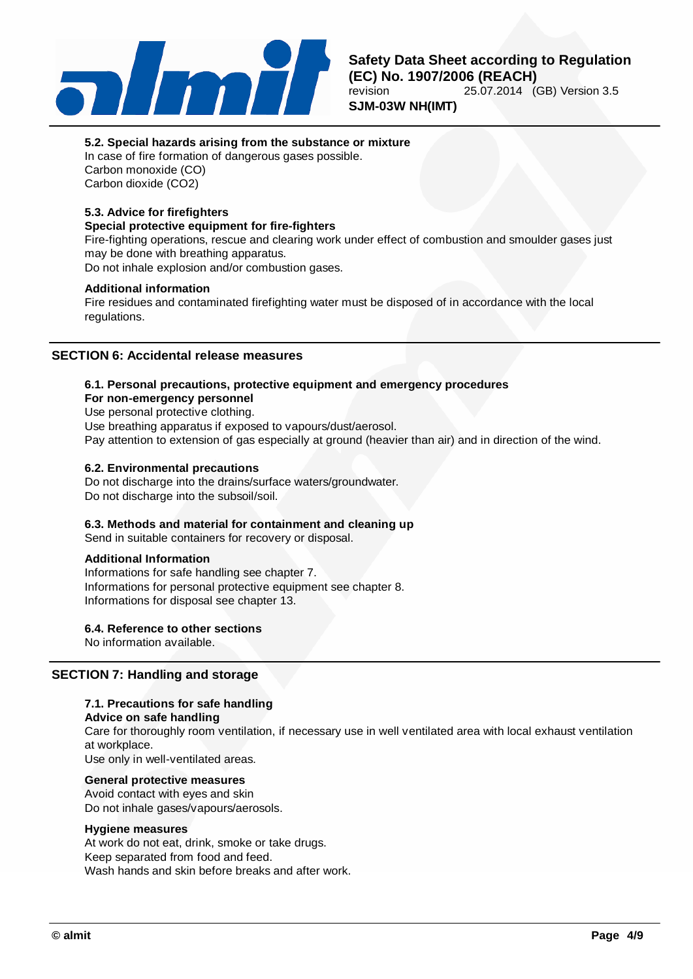

# **5.2. Special hazards arising from the substance or mixture**

In case of fire formation of dangerous gases possible. Carbon monoxide (CO) Carbon dioxide (CO2)

# **5.3. Advice for firefighters**

# **Special protective equipment for fire-fighters**

Fire-fighting operations, rescue and clearing work under effect of combustion and smoulder gases just may be done with breathing apparatus.

Do not inhale explosion and/or combustion gases.

### **Additional information**

Fire residues and contaminated firefighting water must be disposed of in accordance with the local regulations.

### **SECTION 6: Accidental release measures**

### **6.1. Personal precautions, protective equipment and emergency procedures**

#### **For non-emergency personnel**

Use personal protective clothing.

Use breathing apparatus if exposed to vapours/dust/aerosol.

Pay attention to extension of gas especially at ground (heavier than air) and in direction of the wind.

#### **6.2. Environmental precautions**

Do not discharge into the drains/surface waters/groundwater. Do not discharge into the subsoil/soil.

### **6.3. Methods and material for containment and cleaning up**

Send in suitable containers for recovery or disposal.

### **Additional Information**

Informations for safe handling see chapter 7. Informations for personal protective equipment see chapter 8. Informations for disposal see chapter 13.

### **6.4. Reference to other sections**

No information available.

# **SECTION 7: Handling and storage**

### **7.1. Precautions for safe handling**

### **Advice on safe handling**

Care for thoroughly room ventilation, if necessary use in well ventilated area with local exhaust ventilation at workplace.

Use only in well-ventilated areas.

### **General protective measures**

Avoid contact with eyes and skin Do not inhale gases/vapours/aerosols.

#### **Hygiene measures**

At work do not eat, drink, smoke or take drugs. Keep separated from food and feed. Wash hands and skin before breaks and after work.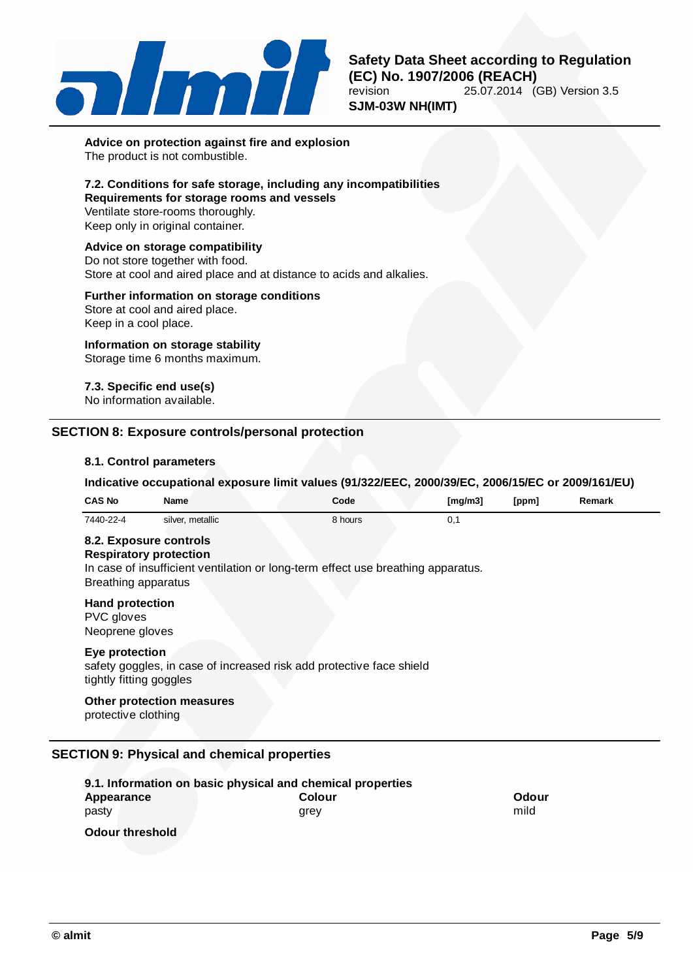

**Advice on protection against fire and explosion** The product is not combustible.

# **7.2. Conditions for safe storage, including any incompatibilities**

**Requirements for storage rooms and vessels** Ventilate store-rooms thoroughly. Keep only in original container.

# **Advice on storage compatibility**

Do not store together with food.

Store at cool and aired place and at distance to acids and alkalies.

## **Further information on storage conditions**

Store at cool and aired place. Keep in a cool place.

### **Information on storage stability** Storage time 6 months maximum.

# **7.3. Specific end use(s)**

No information available.

# **SECTION 8: Exposure controls/personal protection**

#### **8.1. Control parameters**

### **Indicative occupational exposure limit values (91/322/EEC, 2000/39/EC, 2006/15/EC or 2009/161/EU)**

| <b>CAS No</b>                                           | <b>Name</b>                                             | Code                                                                             | [mg/m3] | [ppm] | Remark |
|---------------------------------------------------------|---------------------------------------------------------|----------------------------------------------------------------------------------|---------|-------|--------|
| 7440-22-4                                               | silver, metallic                                        | 8 hours                                                                          | 0,1     |       |        |
| Breathing apparatus                                     | 8.2. Exposure controls<br><b>Respiratory protection</b> | In case of insufficient ventilation or long-term effect use breathing apparatus. |         |       |        |
| <b>Hand protection</b><br>PVC gloves<br>Neoprene gloves |                                                         |                                                                                  |         |       |        |
| Eye protection<br>tightly fitting goggles               |                                                         | safety goggles, in case of increased risk add protective face shield             |         |       |        |
| protective clothing                                     | <b>Other protection measures</b>                        |                                                                                  |         |       |        |

|                        | 9.1. Information on basic physical and chemical properties |       |
|------------------------|------------------------------------------------------------|-------|
| Appearance             | Colour                                                     | Odour |
| pasty                  | arev                                                       | mild  |
| <b>Odour threshold</b> |                                                            |       |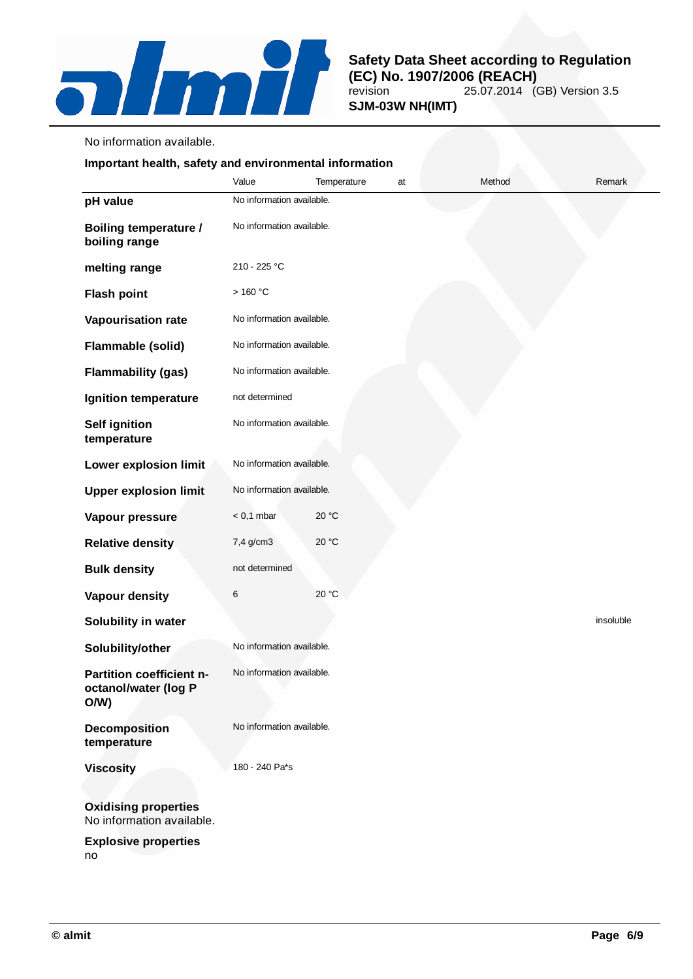

No information available.

# **Important health, safety and environmental information**

|                                                          | Value                         | Temperature | at | Method | Remark    |
|----------------------------------------------------------|-------------------------------|-------------|----|--------|-----------|
| pH value                                                 | No information available.     |             |    |        |           |
| <b>Boiling temperature /</b><br>boiling range            | No information available.     |             |    |        |           |
| melting range                                            | 210 - 225 °C                  |             |    |        |           |
| <b>Flash point</b>                                       | $>$ 160 $^{\circ} \mathrm{C}$ |             |    |        |           |
| Vapourisation rate                                       | No information available.     |             |    |        |           |
| Flammable (solid)                                        | No information available.     |             |    |        |           |
| <b>Flammability (gas)</b>                                | No information available.     |             |    |        |           |
| Ignition temperature                                     | not determined                |             |    |        |           |
| <b>Self ignition</b><br>temperature                      | No information available.     |             |    |        |           |
| <b>Lower explosion limit</b>                             | No information available.     |             |    |        |           |
| <b>Upper explosion limit</b>                             | No information available.     |             |    |        |           |
| Vapour pressure                                          | $< 0.1$ mbar                  | 20 °C       |    |        |           |
| <b>Relative density</b>                                  | 7,4 g/cm3                     | 20 °C       |    |        |           |
| <b>Bulk density</b>                                      | not determined                |             |    |        |           |
| Vapour density                                           | 6                             | 20 °C       |    |        |           |
| Solubility in water                                      |                               |             |    |        | insoluble |
| Solubility/other                                         | No information available.     |             |    |        |           |
| Partition coefficient n-<br>octanol/water (log P<br>O/W  | No information available.     |             |    |        |           |
| <b>Decomposition</b><br>temperature                      | No information available.     |             |    |        |           |
| <b>Viscosity</b>                                         | 180 - 240 Pa*s                |             |    |        |           |
| <b>Oxidising properties</b><br>No information available. |                               |             |    |        |           |
| <b>Explosive properties</b>                              |                               |             |    |        |           |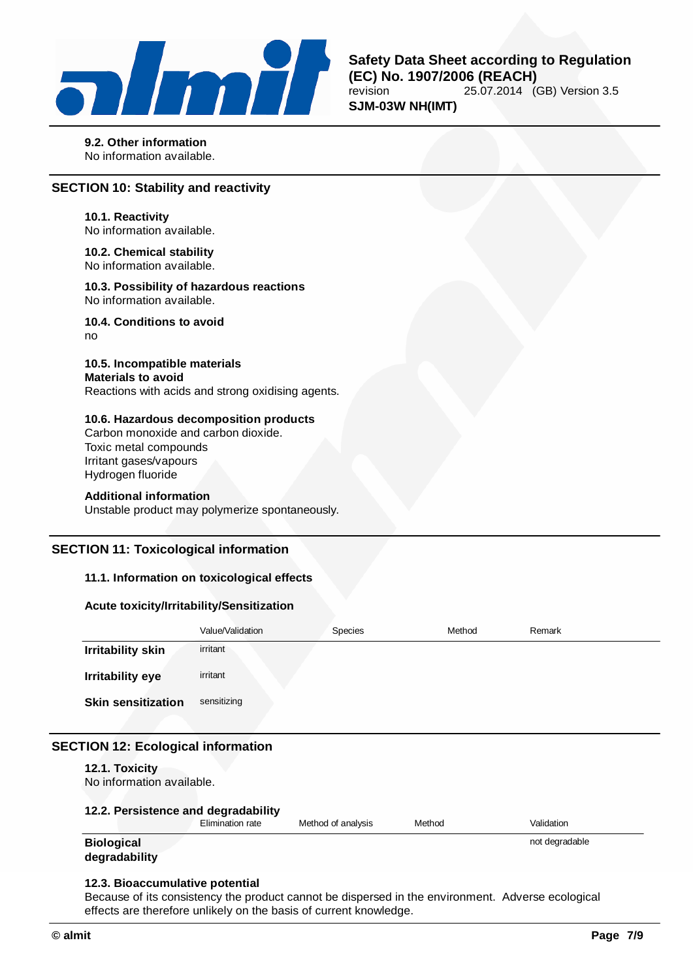

**9.2. Other information** No information available.

# **SECTION 10: Stability and reactivity**

**10.1. Reactivity** No information available.

**10.2. Chemical stability** No information available.

**10.3. Possibility of hazardous reactions** No information available.

**10.4. Conditions to avoid** no

**10.5. Incompatible materials Materials to avoid** Reactions with acids and strong oxidising agents.

### **10.6. Hazardous decomposition products**

Carbon monoxide and carbon dioxide. Toxic metal compounds Irritant gases/vapours Hydrogen fluoride

#### **Additional information**

Unstable product may polymerize spontaneously.

### **SECTION 11: Toxicological information**

# **11.1. Information on toxicological effects**

### **Acute toxicity/Irritability/Sensitization**

|                           | Value/Validation | Species | Method | Remark |
|---------------------------|------------------|---------|--------|--------|
| <b>Irritability skin</b>  | irritant         |         |        |        |
| Irritability eye          | irritant         |         |        |        |
| <b>Skin sensitization</b> | sensitizing      |         |        |        |
|                           |                  |         |        |        |

# **SECTION 12: Ecological information**

### **12.1. Toxicity**

No information available.

# **12.2. Persistence and degradability**

|                   | $- \cdot \cdot$<br><i>E</i> limination rate | Method of analysis | Methoc | Validation     |
|-------------------|---------------------------------------------|--------------------|--------|----------------|
| <b>Biological</b> |                                             |                    |        | not degradable |

#### **Biological degradability**

# **12.3. Bioaccumulative potential**

Because of its consistency the product cannot be dispersed in the environment. Adverse ecological effects are therefore unlikely on the basis of current knowledge.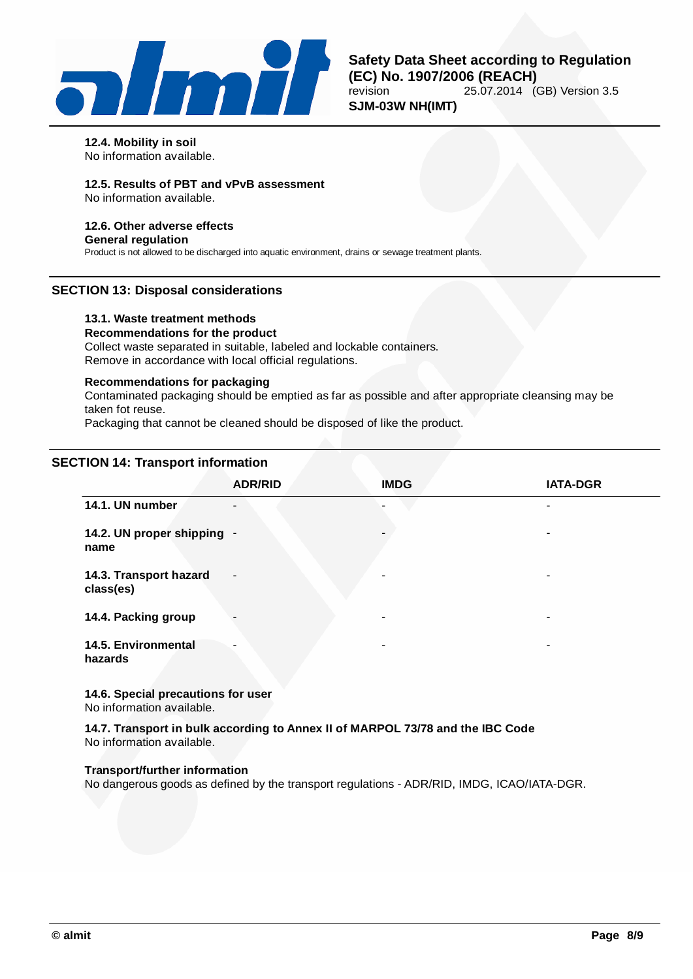

#### **12.4. Mobility in soil**

No information available.

# **12.5. Results of PBT and vPvB assessment**

No information available.

# **12.6. Other adverse effects**

**General regulation**

Product is not allowed to be discharged into aquatic environment, drains or sewage treatment plants.

# **SECTION 13: Disposal considerations**

### **13.1. Waste treatment methods**

**Recommendations for the product** Collect waste separated in suitable, labeled and lockable containers. Remove in accordance with local official regulations.

## **Recommendations for packaging**

Contaminated packaging should be emptied as far as possible and after appropriate cleansing may be taken fot reuse.

Packaging that cannot be cleaned should be disposed of like the product.

# **SECTION 14: Transport information**

|                                     | <b>ADR/RID</b>           | <b>IMDG</b> | <b>IATA-DGR</b> |
|-------------------------------------|--------------------------|-------------|-----------------|
| 14.1. UN number                     | $\overline{\phantom{a}}$ |             |                 |
| 14.2. UN proper shipping -<br>name  |                          |             | ۰               |
| 14.3. Transport hazard<br>class(es) | $\overline{\phantom{a}}$ | ۰           | ۰               |
| 14.4. Packing group                 | $\overline{\phantom{a}}$ | -           | ۰               |
| 14.5. Environmental<br>hazards      | ۰                        | $\,$        | ۰               |

**14.6. Special precautions for user** No information available.

**14.7. Transport in bulk according to Annex II of MARPOL 73/78 and the IBC Code** No information available.

### **Transport/further information**

No dangerous goods as defined by the transport regulations - ADR/RID, IMDG, ICAO/IATA-DGR.